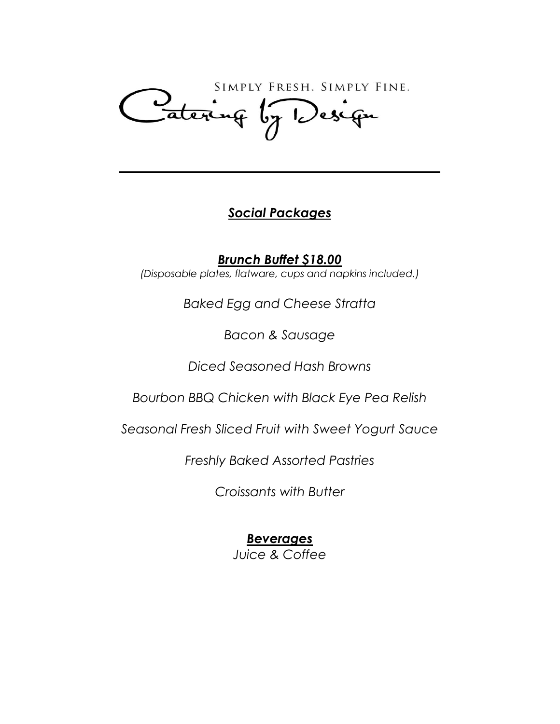SIMPLY FRESH. SIMPLY FINE. Latering by Design

## *Social Packages*

*Brunch Buffet \$18.00 (Disposable plates, flatware, cups and napkins included.)*

*Baked Egg and Cheese Stratta*

*Bacon & Sausage*

*Diced Seasoned Hash Browns*

*Bourbon BBQ Chicken with Black Eye Pea Relish*

*Seasonal Fresh Sliced Fruit with Sweet Yogurt Sauce*

*Freshly Baked Assorted Pastries*

*Croissants with Butter*

# *Beverages*

*Juice & Coffee*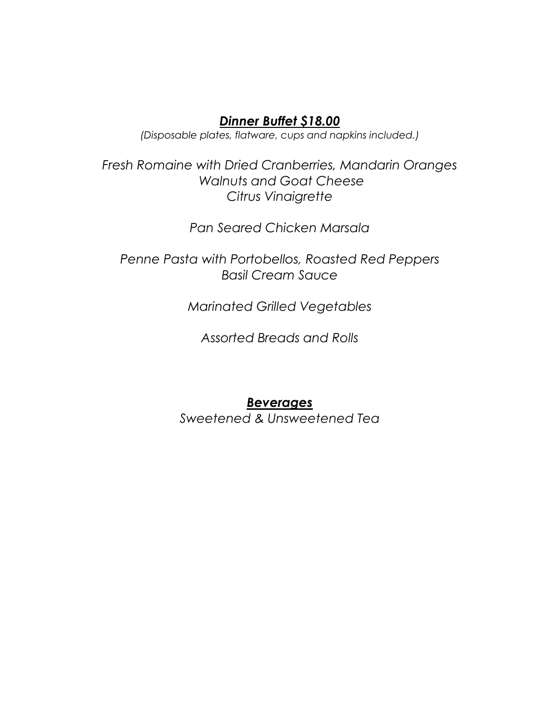#### *Dinner Buffet \$18.00*

*(Disposable plates, flatware, cups and napkins included.)*

*Fresh Romaine with Dried Cranberries, Mandarin Oranges Walnuts and Goat Cheese Citrus Vinaigrette*

*Pan Seared Chicken Marsala*

*Penne Pasta with Portobellos, Roasted Red Peppers Basil Cream Sauce*

*Marinated Grilled Vegetables*

*Assorted Breads and Rolls*

#### *Beverages*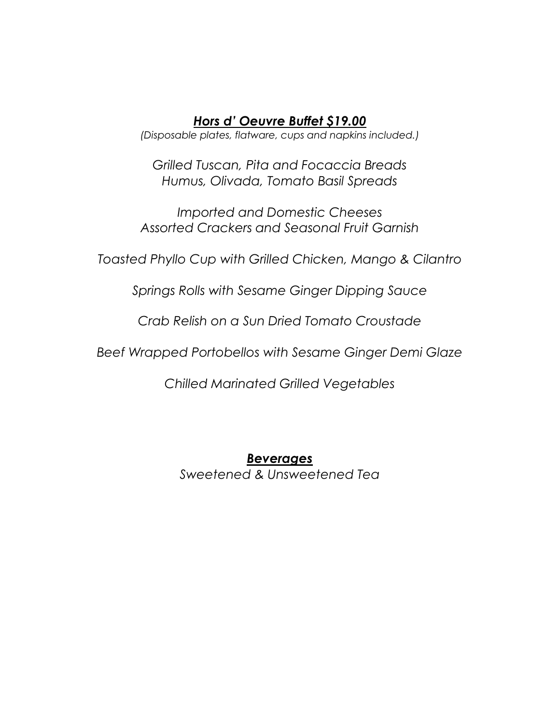#### *Hors d' Oeuvre Buffet \$19.00*

*(Disposable plates, flatware, cups and napkins included.)*

*Grilled Tuscan, Pita and Focaccia Breads Humus, Olivada, Tomato Basil Spreads*

*Imported and Domestic Cheeses Assorted Crackers and Seasonal Fruit Garnish*

*Toasted Phyllo Cup with Grilled Chicken, Mango & Cilantro*

*Springs Rolls with Sesame Ginger Dipping Sauce*

*Crab Relish on a Sun Dried Tomato Croustade*

*Beef Wrapped Portobellos with Sesame Ginger Demi Glaze*

*Chilled Marinated Grilled Vegetables*

*Beverages Sweetened & Unsweetened Tea*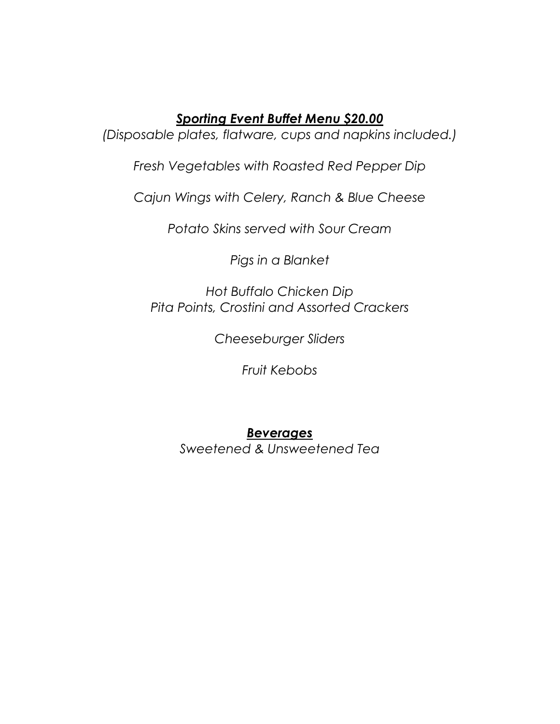### *Sporting Event Buffet Menu \$20.00*

*(Disposable plates, flatware, cups and napkins included.)*

*Fresh Vegetables with Roasted Red Pepper Dip*

*Cajun Wings with Celery, Ranch & Blue Cheese*

*Potato Skins served with Sour Cream*

*Pigs in a Blanket*

*Hot Buffalo Chicken Dip Pita Points, Crostini and Assorted Crackers*

*Cheeseburger Sliders*

*Fruit Kebobs*

## *Beverages*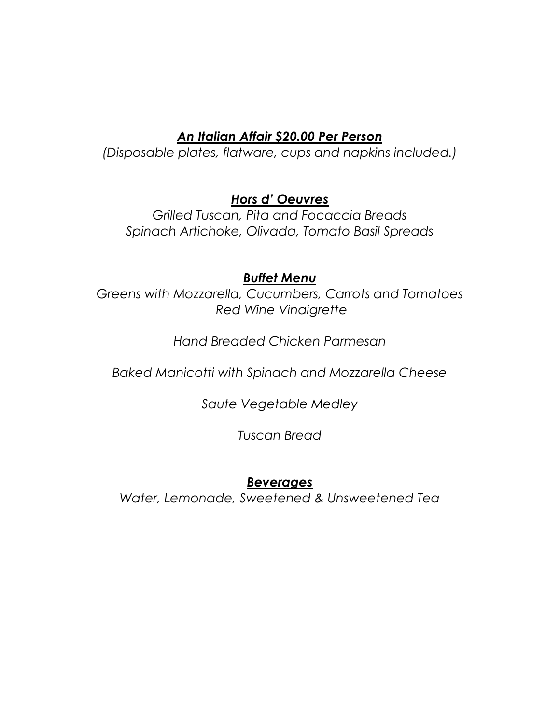## *An Italian Affair \$20.00 Per Person*

*(Disposable plates, flatware, cups and napkins included.)*

## *Hors d' Oeuvres*

*Grilled Tuscan, Pita and Focaccia Breads Spinach Artichoke, Olivada, Tomato Basil Spreads*

### *Buffet Menu*

*Greens with Mozzarella, Cucumbers, Carrots and Tomatoes Red Wine Vinaigrette*

## *Hand Breaded Chicken Parmesan*

*Baked Manicotti with Spinach and Mozzarella Cheese*

*Saute Vegetable Medley*

*Tuscan Bread*

### *Beverages*

*Water, Lemonade, Sweetened & Unsweetened Tea*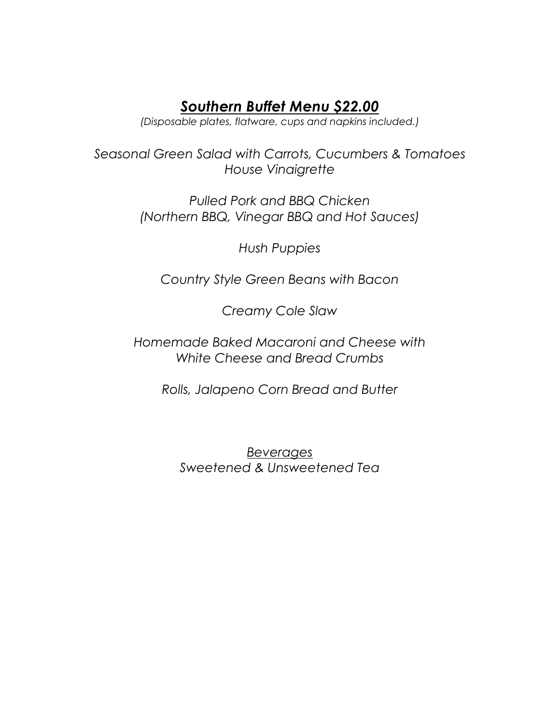## *Southern Buffet Menu \$22.00*

*(Disposable plates, flatware, cups and napkins included.)*

*Seasonal Green Salad with Carrots, Cucumbers & Tomatoes House Vinaigrette*

> *Pulled Pork and BBQ Chicken (Northern BBQ, Vinegar BBQ and Hot Sauces)*

> > *Hush Puppies*

*Country Style Green Beans with Bacon*

*Creamy Cole Slaw*

*Homemade Baked Macaroni and Cheese with White Cheese and Bread Crumbs*

*Rolls, Jalapeno Corn Bread and Butter*

*Beverages Sweetened & Unsweetened Tea*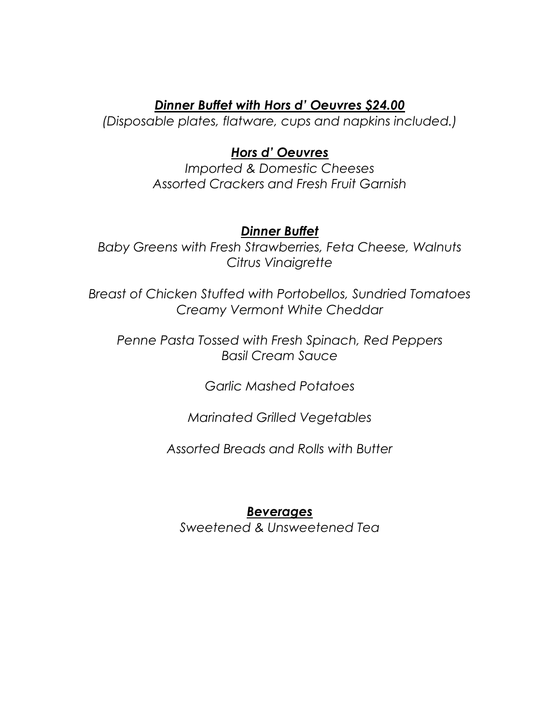#### *Dinner Buffet with Hors d' Oeuvres \$24.00*

*(Disposable plates, flatware, cups and napkins included.)*

### *Hors d' Oeuvres*

*Imported & Domestic Cheeses Assorted Crackers and Fresh Fruit Garnish*

#### *Dinner Buffet*

*Baby Greens with Fresh Strawberries, Feta Cheese, Walnuts Citrus Vinaigrette*

*Breast of Chicken Stuffed with Portobellos, Sundried Tomatoes Creamy Vermont White Cheddar*

*Penne Pasta Tossed with Fresh Spinach, Red Peppers Basil Cream Sauce*

*Garlic Mashed Potatoes*

*Marinated Grilled Vegetables*

*Assorted Breads and Rolls with Butter*

#### *Beverages*